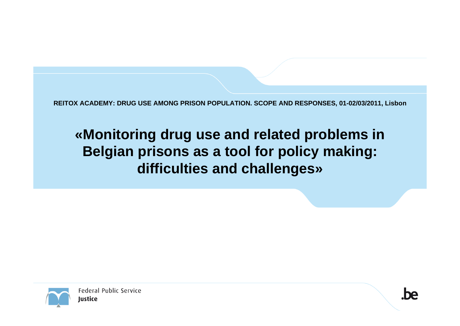**REITOX ACADEMY: DRUG USE AMONG PRISON POPULATION. SCOPE AND RESPONSES, 01-02/03/2011, Lisbon**

## **«Monitoring drug use and related problems in Belgian prisons as a tool for policy making: difficulties and challenges»**

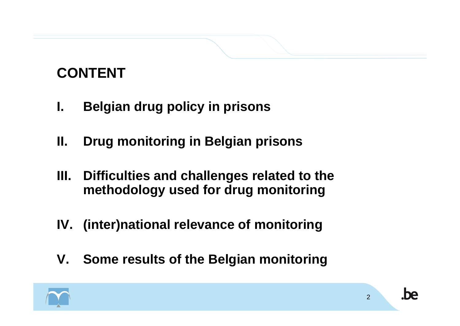# **CONTENT**

- **I. Belgian drug policy in prisons**
- **II. Drug monitoring in Belgian prisons**
- **III. Difficulties and challenges related to the methodology used for drug monitoring**
- **IV. (inter)national relevance of monitoring**
- **V. Some results of the Belgian monitoring**

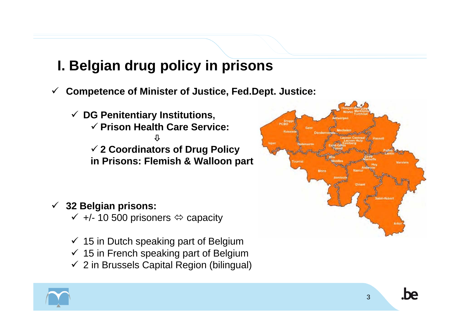## **I. Belgian drug policy in prisons**

- $\checkmark$  **Competence of Minister of Justice, Fed.Dept. Justice:**
	- 9 **DG Penitentiary Institutions,**  9 **Prison Health Care Service:** Ø9 **2 Coordinators of Drug Policy in Prisons: Flemish & Walloon part**

#### 9 **32 Belgian prisons:**

- $\checkmark$  +/- 10 500 prisoners  $\Leftrightarrow$  capacity
- $\checkmark$  15 in Dutch speaking part of Belgium
- $\checkmark$  15 in French speaking part of Belgium
- $\checkmark$  2 in Brussels Capital Region (bilingual)



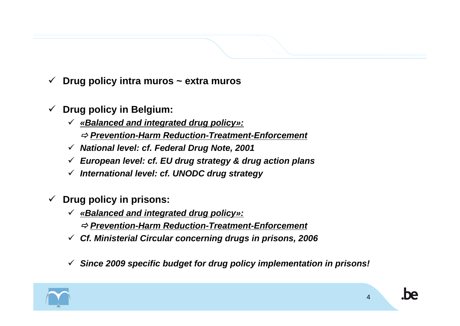- $\checkmark$ **Drug policy intra muros ~ extra muros**
- $\checkmark$  **Drug policy in Belgium:**
	- 9 *«Balanced and integrated drug policy»:*
		- Ö *Prevention-Harm Reduction-Treatment-Enforcement*
	- 9 *National level: cf. Federal Drug Note, 2001*
	- 9 *European level: cf. EU drug strategy & drug action plans*
	- 9 *International level: cf. UNODC drug strategy*
- $\checkmark$  **Drug policy in prisons:**
	- 9 *«Balanced and integrated drug policy»:*
		- Ö *Prevention-Harm Reduction-Treatment-Enforcement*
	- 9 *Cf. Ministerial Circular concerning drugs in prisons, 2006*
	- 9 *Since 2009 specific budget for drug policy implementation in prisons!*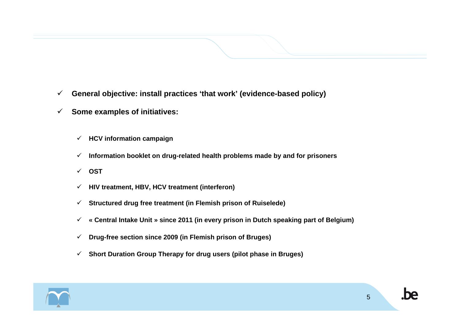- $\checkmark$ **General objective: install practices 'that work' (evidence-based policy)**
- $\checkmark$  **Some examples of initiatives:**
	- 9 **HCV information campaign**
	- $\checkmark$ **Information booklet on drug-related health problems made by and for prisoners**
	- 9 **OST**
	- $\checkmark$ **HIV treatment, HBV, HCV treatment (interferon)**
	- $\checkmark$ **Structured drug free treatment (in Flemish prison of Ruiselede)**
	- $\checkmark$ **« Central Intake Unit » since 2011 (in every prison in Dutch speaking part of Belgium)**
	- $\checkmark$ **Drug-free section since 2009 (in Flemish prison of Bruges)**
	- $\checkmark$ **Short Duration Group Therapy for drug users (pilot phase in Bruges)**

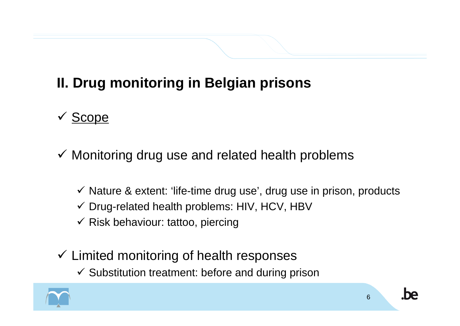# **II. Drug monitoring in Belgian prisons**

## √ Scope

- $\checkmark$  Monitoring drug use and related health problems
	- $\checkmark$  Nature & extent: 'life-time drug use', drug use in prison, products  $\checkmark$  Drug-related health problems: HIV, HCV, HBV
	- $\checkmark$  Risk behaviour: tattoo, piercing
- $\checkmark$  Limited monitoring of health responses
	- $\checkmark$  Substitution treatment: before and during prison

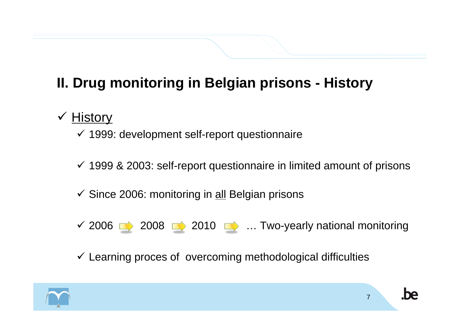# **II. Drug monitoring in Belgian prisons - History**

#### √ History

 $\checkmark$  1999: development self-report questionnaire

- $\checkmark$  1999 & 2003: self-report questionnaire in limited amount of prisons
- $\checkmark$  Since 2006: monitoring in all Belgian prisons
- $\checkmark$  2006  $\longrightarrow$  2008  $\longrightarrow$  2010  $\longrightarrow$  ... Two-yearly national monitoring
- $\checkmark$  Learning proces of overcoming methodological difficulties

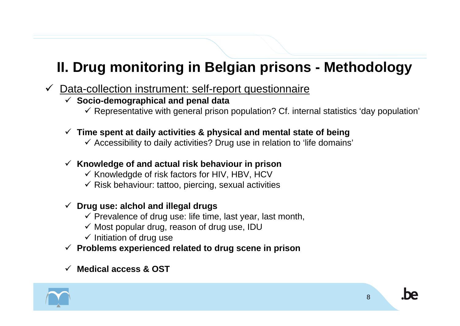## **II. Drug monitoring in Belgian prisons - Methodology**

- $\checkmark$ Data-collection instrument: self-report questionnaire
	- 9 **Socio-demographical and penal data**
		- $\checkmark$  Representative with general prison population? Cf. internal statistics 'day population'
	- 9 **Time spent at daily activities & physical and mental state of being**
		- $\checkmark$  Accessibility to daily activities? Drug use in relation to 'life domains'
	- 9 **Knowledge of and actual risk behaviour in prison**
		- $\checkmark$  Knowledgde of risk factors for HIV, HBV, HCV
		- $\checkmark$  Risk behaviour: tattoo, piercing, sexual activities

#### 9 **Drug use: alchol and illegal drugs**

- $\checkmark$  Prevalence of drug use: life time, last year, last month,
- $\checkmark$  Most popular drug, reason of drug use, IDU
- $\checkmark$  Initiation of drug use
- 9 **Problems experienced related to drug scene in prison**

#### $\checkmark$ **Medical access & OST**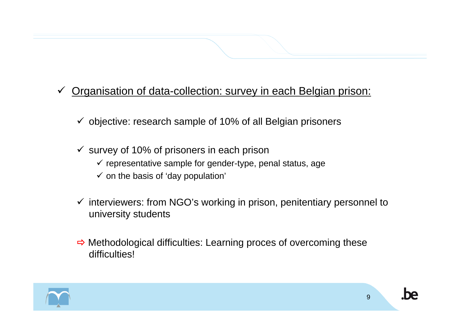#### $\checkmark$ Organisation of data-collection: survey in each Belgian prison:

- $\checkmark$  objective: research sample of 10% of all Belgian prisoners
- $\checkmark$  survey of 10% of prisoners in each prison
	- $\checkmark$  representative sample for gender-type, penal status, age
	- $\checkmark$  on the basis of 'day population'
- $\checkmark$  interviewers: from NGO's working in prison, penitentiary personnel to university students
- $\Rightarrow$  Methodological difficulties: Learning proces of overcoming these difficulties!

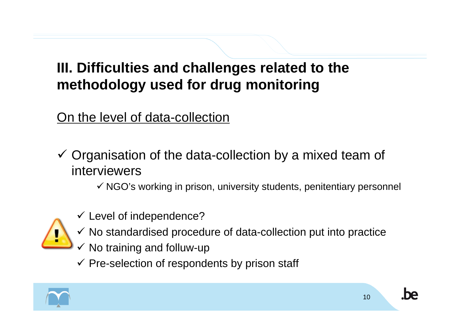## **III. Difficulties and challenges related to the methodology used for drug monitoring**

#### On the level of data-collection

- $\checkmark$  Organisation of the data-collection by a mixed team of interviewers
	- $\checkmark$  NGO's working in prison, university students, penitentiary personnel



- $\checkmark$  Level of independence?
- $\checkmark$  No standardised procedure of data-collection put into practice
- $\checkmark$  No training and folluw-up
- $\checkmark$  Pre-selection of respondents by prison staff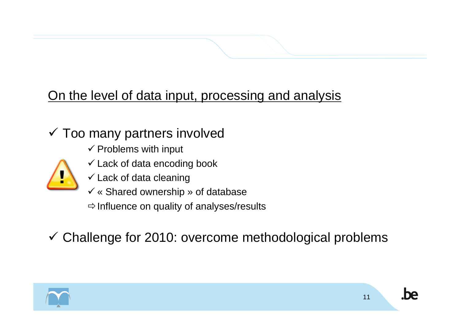## On the level of data input, processing and analysis

#### $\checkmark$  Too many partners involved

- $\checkmark$  Problems with input
- $\checkmark$  Lack of data encoding book
- $\checkmark$  Lack of data cleaning
- $\checkmark$  « Shared ownership » of database

 $\Rightarrow$  Influence on quality of analyses/results

 $\checkmark$  Challenge for 2010: overcome methodological problems

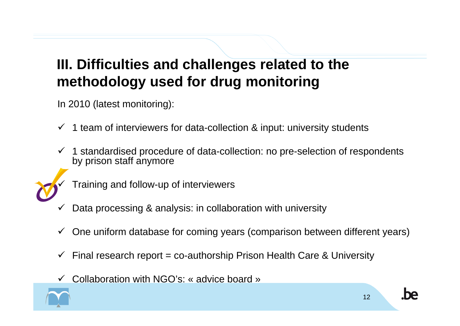## **III. Difficulties and challenges related to the methodology used for drug monitoring**

In 2010 (latest monitoring):

- $\checkmark$ 1 team of interviewers for data-collection & input: university students
- $\checkmark$  1 standardised procedure of data-collection: no pre-selection of respondents by prison staff anymore



Training and follow-up of interviewers

- $\checkmark$ Data processing & analysis: in collaboration with university
- $\checkmark$  One uniform database for coming years (comparison between different years)
- $\checkmark$ Final research report = co-authorship Prison Health Care & University
- $\checkmark$ Collaboration with NGO's: « advice board »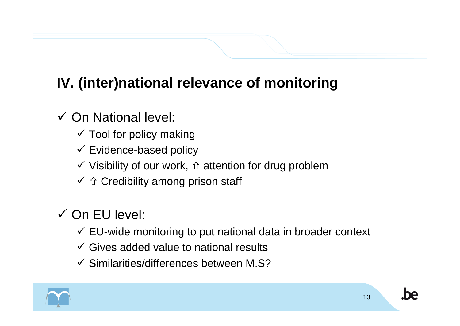# **IV. (inter)national relevance of monitoring**

## $\checkmark$  On National level:

- $\checkmark$  Tool for policy making
- $\checkmark$  Evidence-based policy
- $\checkmark$  Visibility of our work,  $\hat{u}$  attention for drug problem
- $\checkmark$   $\hat\Upsilon$  Credibility among prison staff

# $\checkmark$  On EU level:

- $\checkmark$  EU-wide monitoring to put national data in broader context
- $\checkmark$  Gives added value to national results
- $\checkmark$  Similarities/differences between M.S?

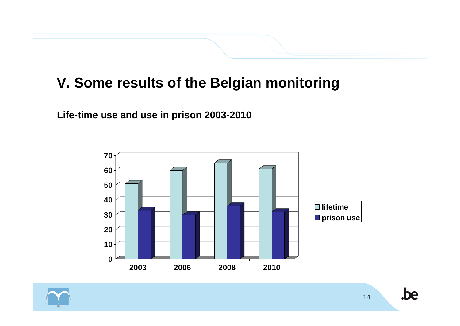### **V. Some results of the Belgian monitoring**

**Life-time use and use in prison 2003-2010**



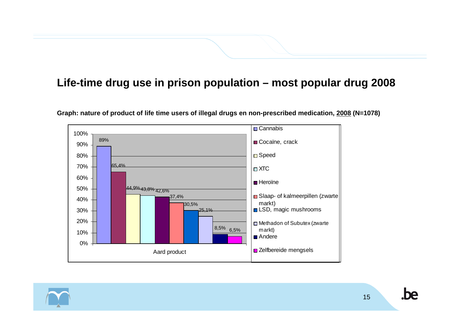#### **Life-time drug use in prison population – most popular drug 2008**



**Graph: nature of product of life time users of illegal drugs en non-prescribed medication, 2008 (N=1078)**

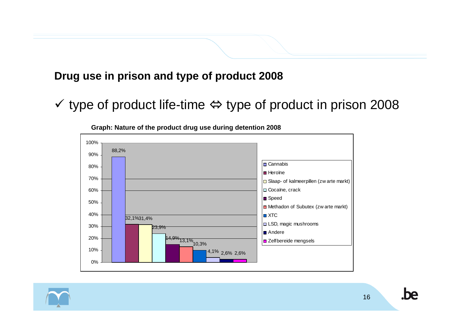#### **Drug use in prison and type of product 2008**

 $\checkmark$  type of product life-time  $\Leftrightarrow$  type of product in prison 2008



**Graph: Nature of the product drug use during detention 2008**

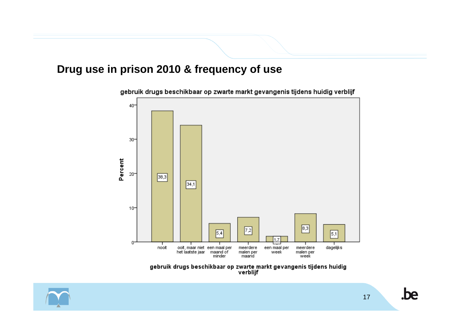#### **Drug use in prison 2010 & frequency of use**



gebruik drugs beschikbaar op zwarte markt gevangenis tijdens huidig verblijf

gebruik drugs beschikbaar op zwarte markt gevangenis tijdens huidig<br>verblijf

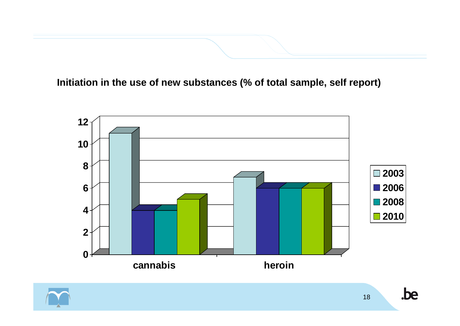**Initiation in the use of new substances (% of total sample, self report)**



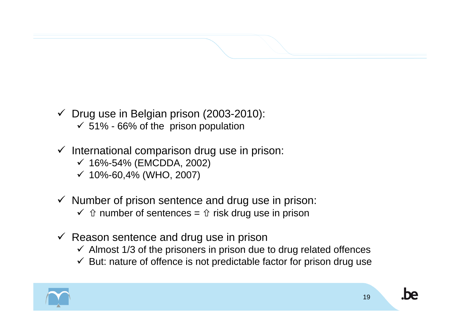#### $\checkmark$  Drug use in Belgian prison (2003-2010):  $\checkmark$  51% - 66% of the prison population

 $\checkmark$  International comparison drug use in prison:

- 9 16%-54% (EMCDDA, 2002)
- $\checkmark$  10%-60,4% (WHO, 2007)
- $\checkmark$  Number of prison sentence and drug use in prison:
	- $\checkmark\;$   $\hat{\text{}}$  number of sentences =  $\hat{\text{}}$  risk drug use in prison
- $\checkmark$  Reason sentence and drug use in prison
	- $\checkmark$  Almost 1/3 of the prisoners in prison due to drug related offences
	- $\checkmark$  But: nature of offence is not predictable factor for prison drug use

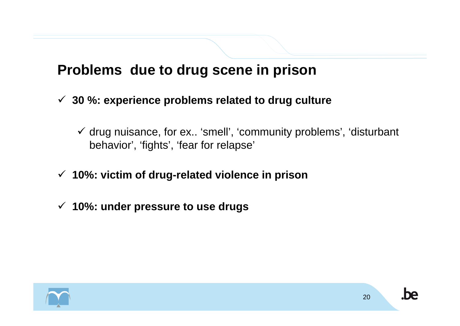#### **Problems due to drug scene in prison**

- 9 **30 %: experience problems related to drug culture**
	- $\checkmark$  drug nuisance, for ex.. 'smell', 'community problems', 'disturbant behavior', 'fights', 'fear for relapse'
- 9 **10%: victim of drug-related violence in prison**
- 9 **10%: under pressure to use drugs**

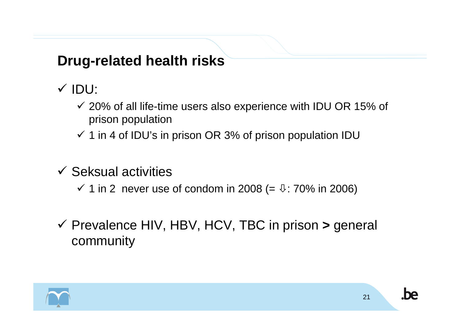## **Drug-related health risks**

√ IDU:

- $\checkmark$  20% of all life-time users also experience with IDU OR 15% of prison population
- $\checkmark$  1 in 4 of IDU's in prison OR 3% of prison population IDU
- $\checkmark$  Seksual activities
	- $\checkmark$  1 in 2 never use of condom in 2008 (=  $\ddot{v}$ : 70% in 2006)
- 9 Prevalence HIV, HBV, HCV, TBC in prison **>** general community

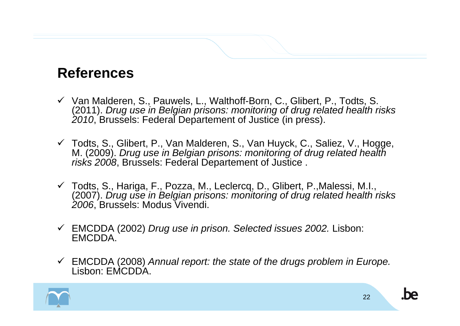#### **References**

- $\checkmark$  Van Malderen, S., Pauwels, L., Walthoff-Born, C., Glibert, P., Todts, S. (2011). *Drug use in Belgian prisons: monitoring of drug related health risks 2010*, Brussels: Federal Departement of Justice (in press).
- 9 Todts, S., Glibert, P., Van Malderen, S., Van Huyck, C., Saliez, V., Hogge, M. (2009). *Drug use in Belgian prisons: monitoring of drug related health risks 2008*, Brussels: Federal Departement of Justice .
- 9 Todts, S., Hariga, F., Pozza, M., Leclercq, D., Glibert, P.,Malessi, M.I., (2007). *Drug use in Belgian prisons: monitoring of drug related health risks 2006*, Brussels: Modus Vivendi.
- 9 EMCDDA (2002) *Drug use in prison. Selected issues 2002.* Lisbon: EMCDDA.
- 9 EMCDDA (2008) *Annual report: the state of the drugs problem in Europe.* Lisbon: EMCDDA.